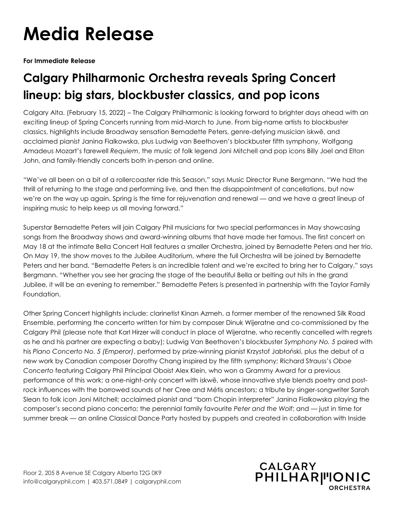## **Media Release**

**For Immediate Release**

## **Calgary Philharmonic Orchestra reveals Spring Concert lineup: big stars, blockbuster classics, and pop icons**

Calgary Alta. (February 15, 2022) – The Calgary Philharmonic is looking forward to brighter days ahead with an exciting lineup of Spring Concerts running from mid-March to June. From big-name artists to blockbuster classics, highlights include Broadway sensation Bernadette Peters, genre-defying musician iskwē, and acclaimed pianist Janina Fialkowska, plus Ludwig van Beethoven's blockbuster fifth symphony, Wolfgang Amadeus Mozart's farewell *Requiem*, the music of folk legend Joni Mitchell and pop icons Billy Joel and Elton John, and family-friendly concerts both in-person and online.

"We've all been on a bit of a rollercoaster ride this Season," says Music Director Rune Bergmann. "We had the thrill of returning to the stage and performing live, and then the disappointment of cancellations, but now we're on the way up again. Spring is the time for rejuvenation and renewal — and we have a great lineup of inspiring music to help keep us all moving forward."

Superstar Bernadette Peters will join Calgary Phil musicians for two special performances in May showcasing songs from the Broadway shows and award-winning albums that have made her famous. The first concert on May 18 at the intimate Bella Concert Hall features a smaller Orchestra, joined by Bernadette Peters and her trio. On May 19, the show moves to the Jubilee Auditorium, where the full Orchestra will be joined by Bernadette Peters and her band. "Bernadette Peters is an incredible talent and we're excited to bring her to Calgary," says Bergmann. "Whether you see her gracing the stage of the beautiful Bella or belting out hits in the grand Jubilee, it will be an evening to remember." Bernadette Peters is presented in partnership with the Taylor Family Foundation.

Other Spring Concert highlights include: clarinetist Kinan Azmeh, a former member of the renowned Silk Road Ensemble, performing the concerto written for him by composer Dinuk Wijeratne and co-commissioned by the Calgary Phil (please note that Karl Hirzer will conduct in place of Wijeratne, who recently cancelled with regrets as he and his partner are expecting a baby); Ludwig Van Beethoven's blockbuster *Symphony No. 5* paired with his *Piano Concerto No. 5 (Emperor)*, performed by prize-winning pianist Krzystof Jabłoński, plus the debut of a new work by Canadian composer Dorothy Chang inspired by the fifth symphony; Richard Strauss's *Oboe Concerto* featuring Calgary Phil Principal Oboist Alex Klein, who won a Grammy Award for a previous performance of this work; a one-night-only concert with iskwē, whose innovative style blends poetry and postrock influences with the borrowed sounds of her Cree and Métis ancestors; a tribute by singer-songwriter Sarah Slean to folk icon Joni Mitchell; acclaimed pianist and "born Chopin interpreter" Janina Fialkowska playing the composer's second piano concerto; the perennial family favourite *Peter and the Wolf*; and — just in time for summer break — an online Classical Dance Party hosted by puppets and created in collaboration with Inside